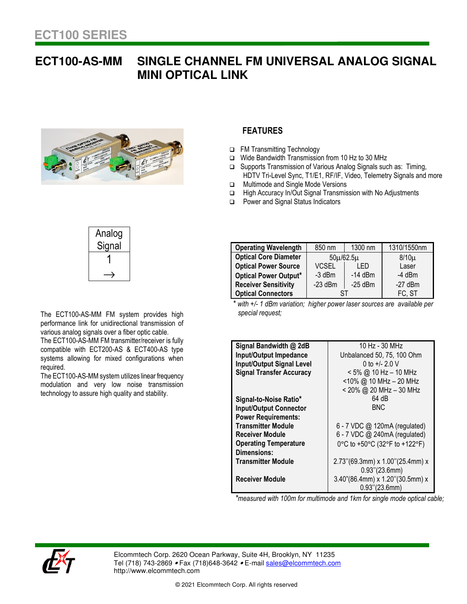## **ECT100-AS-MM SINGLE CHANNEL FM UNIVERSAL ANALOG SIGNAL MINI OPTICAL LINK**



## **FEATURES**

- FM Transmitting Technology
- Wide Bandwidth Transmission from 10 Hz to 30 MHz
- □ Supports Transmission of Various Analog Signals such as: Timing, HDTV Tri-Level Sync, T1/E1, RF/IF, Video, Telemetry Signals and more
- **In Multimode and Single Mode Versions**
- □ High Accuracy In/Out Signal Transmission with No Adjustments
- □ Power and Signal Status Indicators

| Analog<br>Signal |  |
|------------------|--|
|                  |  |
|                  |  |

The ECT100-AS-MM FM system provides high performance link for unidirectional transmission of various analog signals over a fiber optic cable.

The ECT100-AS-MM FM transmitter/receiver is fully compatible with ECT200-AS & ECT400-AS type systems allowing for mixed configurations when required.

The ECT100-AS-MM system utilizes linear frequency modulation and very low noise transmission technology to assure high quality and stability.

| <b>Operating Wavelength</b>  | 850 nm          | 1300 nm   | 1310/1550nm |
|------------------------------|-----------------|-----------|-------------|
| <b>Optical Core Diameter</b> | $50\mu/62.5\mu$ |           | $8/10\mu$   |
| <b>Optical Power Source</b>  | <b>VCSEL</b>    | I FD      | Laser       |
| <b>Optical Power Output*</b> | $-3$ dBm        | $-14$ dBm | $-4$ dBm    |
| <b>Receiver Sensitivity</b>  | $-23$ dBm       | $-25$ dBm | $-27$ dBm   |
| <b>Optical Connectors</b>    |                 |           | FC, ST      |

 *\* with +/- 1 dBm variation; higher power laser sources are available per special request;* 

| Signal Bandwidth @ 2dB           | 10 Hz - 30 MHz                     |
|----------------------------------|------------------------------------|
| <b>Input/Output Impedance</b>    | Unbalanced 50, 75, 100 Ohm         |
| <b>Input/Output Signal Level</b> | 0 to $+/- 2.0$ V                   |
| <b>Signal Transfer Accuracy</b>  | $< 5\%$ @ 10 Hz - 10 MHz           |
|                                  | <10% @ 10 MHz - 20 MHz             |
|                                  | < 20% @ 20 MHz - 30 MHz            |
| Signal-to-Noise Ratio*           | 64 dB                              |
| <b>Input/Output Connector</b>    | <b>BNC</b>                         |
| <b>Power Requirements:</b>       |                                    |
| <b>Transmitter Module</b>        | 6 - 7 VDC @ 120mA (regulated)      |
| <b>Receiver Module</b>           | 6 - 7 VDC @ 240mA (regulated)      |
| <b>Operating Temperature</b>     | 0°C to +50°C (32°F to +122°F)      |
| Dimensions:                      |                                    |
| <b>Transmitter Module</b>        | $2.73$ "(69.3mm) x 1.00"(25.4mm) x |
|                                  | $0.93$ "(23.6mm)                   |
| Receiver Module                  | 3.40"(86.4mm) x 1.20"(30.5mm) x    |
|                                  | $0.93$ " $(23.6$ mm)               |

*\*measured with 100m for multimode and 1km for single mode optical cable;* 



Elcommtech Corp. 2620 Ocean Parkway, Suite 4H, Brooklyn, NY 11235 Tel (718) 743-2869 • Fax (718)648-3642 • E-mail sales@elcommtech.com http://www.elcommtech.com